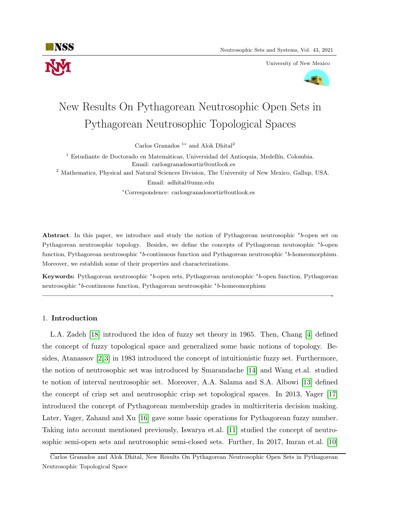

University of New Mexico



# New Results On Pythagorean Neutrosophic Open Sets in Pythagorean Neutrosophic Topological Spaces

Carlos Granados<sup>1</sup><sup>\*</sup> and Alok Dhital<sup>2</sup>

 $<sup>1</sup>$  Estudiante de Doctorado en Matemáticas, Universidad del Antioquia, Medellín, Colombia.</sup> Email: carlosgranadosortiz@outlook.es

<sup>2</sup> Mathematics, Physical and Natural Sciences Division, The University of New Mexico, Gallup, USA. Email: adhital@unm.edu

<sup>∗</sup>Correspondence: carlosgranadosortiz@outlook.es

Abstract. In this paper, we introduce and study the notion of Pythagorean neutrosophic \*b-open set on Pythagorean neutrosophic topology. Besides, we define the concepts of Pythagorean neutosophic \*b-open function, Pythagorean neutrosophic \*b-continuous function and Pythagorean neutrosophic \*b-homeomorphism. Moreover, we establish some of their properties and characterizations.

Keywords: Pythagorean neutrosophic \*b-open sets, Pythagorean neutosophic \*b-open function, Pythagorean neutrosophic \*b-continuous function, Pythagorean neutrosophic \*b-homeomorphism

—————————————————————————————————————————-

### 1. Introduction

L.A. Zadeh [\[18\]](#page-11-0) introduced the idea of fuzzy set theory in 1965. Then, Chang [\[4\]](#page-11-1) defined the concept of fuzzy topological space and generalized some basic notions of topology. Besides, Atanassov [\[2,](#page-11-2) [3\]](#page-11-3) in 1983 introduced the concept of intuitionistic fuzzy set. Furthermore, the notion of neutrosophic set was introduced by Smarandache [\[14\]](#page-11-4) and Wang et.al. studied te notion of interval neutrosophic set. Moreover, A.A. Salama and S.A. Albowi [\[13\]](#page-11-5) defined the concept of crisp set and neutrosophic crisp set topological spaces. In 2013, Yager [\[17\]](#page-11-6) introduced the concept of Pythagorean membership grades in multicriteria decision making. Later, Yager, Zahand and Xu [\[16\]](#page-11-7) gave some basic operations for Pythagorean fuzzy number. Taking into account mentioned previously, Iswarya et.al. [\[11\]](#page-11-8) studied the concept of neutrosophic semi-open sets and neutrosophic semi-closed sets. Further, In 2017, Imran et.al. [\[10\]](#page-11-9)

Carlos Granados and Alok Dhital, New Results On Pythagorean Neutrosophic Open Sets in Pythagorean Neutrosophic Topological Space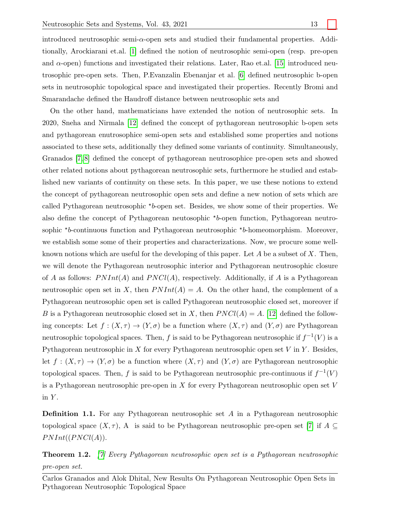introduced neutrosophic semi- $\alpha$ -open sets and studied their fundamental properties. Additionally, Arockiarani et.al. [\[1\]](#page-11-10) defined the notion of neutrosophic semi-open (resp. pre-open and  $\alpha$ -open) functions and investigated their relations. Later, Rao et.al. [\[15\]](#page-11-11) introduced neutrosophic pre-open sets. Then, P.Evanzalin Ebenanjar et al. [\[6\]](#page-11-12) defined neutrosophic b-open sets in neutrosophic topological space and investigated their properties. Recently Bromi and Smarandache defined the Haudroff distance between neutrosophic sets and

On the other hand, mathematicians have extended the notion of neutrosophic sets. In 2020, Sneha and Nirmala [\[12\]](#page-11-13) defined the concept of pythagorean neutrosophic b-open sets and pythagorean enutrosophice semi-open sets and established some properties and notions associated to these sets, additionally they defined some variants of continuity. Simultaneously, Granados [\[7,](#page-11-14) [8\]](#page-11-15) defined the concept of pythagorean neutrosophice pre-open sets and showed other related notions about pythagorean neutrosophic sets, furthermore he studied and established new variants of continuity on these sets. In this paper, we use these notions to extend the concept of pythagorean neutrosophic open sets and define a new notion of sets which are called Pythagorean neutrosophic \*b-open set. Besides, we show some of their properties. We also define the concept of Pythagorean neutosophic \*b-open function, Pythagorean neutrosophic  $b$ -continuous function and Pythagorean neutrosophic  $\rightarrow b$ -homeomorphism. Moreover, we establish some some of their properties and characterizations. Now, we procure some wellknown notions which are useful for the developing of this paper. Let A be a subset of X. Then, we will denote the Pythagorean neutrosophic interior and Pythagorean neutrosophic closure of A as follows:  $PNInt(A)$  and  $PNCl(A)$ , respectively. Additionally, if A is a Pythagorean neutrosophic open set in X, then  $PNInt(A) = A$ . On the other hand, the complement of a Pythagorean neutrosophic open set is called Pythagorean neutrosophic closed set, moreover if B is a Pythagorean neutrosophic closed set in X, then  $PNCl(A) = A$ . [\[12\]](#page-11-13) defined the following concepts: Let  $f : (X, \tau) \to (Y, \sigma)$  be a function where  $(X, \tau)$  and  $(Y, \sigma)$  are Pythagorean neutrosophic topological spaces. Then, f is said to be Pythagorean neutrosophic if  $f^{-1}(V)$  is a Pythagorean neutrosophic in X for every Pythagorean neutrosophic open set V in Y. Besides, let  $f: (X, \tau) \to (Y, \sigma)$  be a function where  $(X, \tau)$  and  $(Y, \sigma)$  are Pythagorean neutrosophic topological spaces. Then, f is said to be Pythagorean neutrosophic pre-continuous if  $f^{-1}(V)$ is a Pythagorean neutrosophic pre-open in X for every Pythagorean neutrosophic open set V in  $Y$ .

Definition 1.1. For any Pythagorean neutrosophic set A in a Pythagorean neutrosophic topological space  $(X, \tau)$ , A is said to be Pythagorean neutrosophic pre-open set [\[7\]](#page-11-14) if  $A \subseteq$  $PNInt((PNCl(A)).$ 

Theorem 1.2. [\[7\]](#page-11-14) Every Pythagorean neutrosophic open set is a Pythagorean neutrosophic pre-open set.

Carlos Granados and Alok Dhital, New Results On Pythagorean Neutrosophic Open Sets in Pythagorean Neutrosophic Topological Space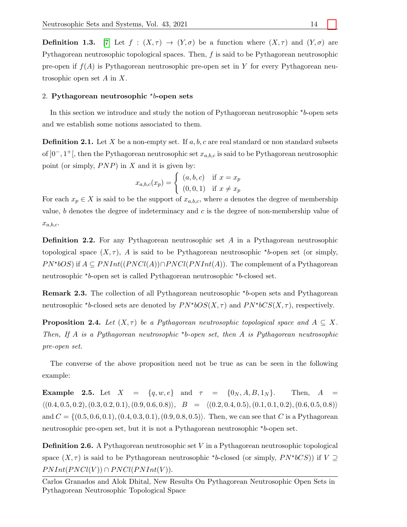**Definition 1.3.** [\[7\]](#page-11-14) Let  $f : (X, \tau) \to (Y, \sigma)$  be a function where  $(X, \tau)$  and  $(Y, \sigma)$  are Pythagorean neutrosophic topological spaces. Then, f is said to be Pythagorean neutrosophic pre-open if  $f(A)$  is Pythagorean neutrosophic pre-open set in Y for every Pythagorean neutrosophic open set A in X.

## 2. Pythagorean neutrosophic  $\rightarrow b$ -open sets

In this section we introduce and study the notion of Pythagorean neutrosophic  $\star b$ -open sets and we establish some notions associated to them.

**Definition 2.1.** Let X be a non-empty set. If  $a, b, c$  are real standard or non standard subsets of  $]0^-, 1^+[$ , then the Pythagorean neutrosophic set  $x_{a,b,c}$  is said to be Pythagorean neutrosophic point (or simply,  $P NP$ ) in  $X$  and it is given by:

$$
x_{a,b,c}(x_p) = \begin{cases} (a,b,c) & \text{if } x = x_p \\ (0,0,1) & \text{if } x \neq x_p \end{cases}
$$

For each  $x_p \in X$  is said to be the support of  $x_{a,b,c}$ , where a denotes the degree of membership value, b denotes the degree of indeterminacy and  $c$  is the degree of non-membership value of  $x_{a,b,c}$ .

<span id="page-2-0"></span>Definition 2.2. For any Pythagorean neutrosophic set A in a Pythagorean neutrosophic topological space  $(X, \tau)$ , A is said to be Pythagorean neutrosophic \*b-open set (or simply,  $PN*bOS$ ) if  $A \subseteq PNInt((PNCl(A)) \cap PNCl(PNInt(A))$ . The complement of a Pythagorean neutrosophic \*b-open set is called Pythagorean neutrosophic \*b-closed set.

**Remark 2.3.** The collection of all Pythagorean neutrosophic  $*_{b}$ -open sets and Pythagorean neutrosophic \*b-closed sets are denoted by  $PN*bOS(X, \tau)$  and  $PN*bCS(X, \tau)$ , respectively.

<span id="page-2-2"></span>**Proposition 2.4.** Let  $(X, \tau)$  be a Pythagorean neutrosophic topological space and  $A \subseteq X$ . Then, If A is a Pythagorean neutrosophic \*b-open set, then A is Pythagorean neutrosophic pre-open set.

The converse of the above proposition need not be true as can be seen in the following example:

**Example 2.5.** Let  $X = \{q, w, e\}$  and  $\tau = \{0_N, A, B, 1_N\}$ . Then,  $A =$  $\langle (0.4, 0.5, 0.2), (0.3, 0.2, 0.1), (0.9, 0.6, 0.8) \rangle$ ,  $B = \langle (0.2, 0.4, 0.5), (0.1, 0.1, 0.2), (0.6, 0.5, 0.8) \rangle$ and  $C = \{(0.5, 0.6, 0.1), (0.4, 0.3, 0.1), (0.9, 0.8, 0.5)\}.$  Then, we can see that C is a Pythagorean neutrosophic pre-open set, but it is not a Pythagorean neutrosophic \*b-open set.

<span id="page-2-1"></span>Definition 2.6. A Pythagorean neutrosophic set V in a Pythagorean neutrosophic topological space  $(X, \tau)$  is said to be Pythagorean neutrosophic \*b-closed (or simply,  $PN*bCS$ )) if  $V \supseteq$  $PNInt(PNCl(V)) \cap PNCl(PNInt(V)).$ 

Carlos Granados and Alok Dhital, New Results On Pythagorean Neutrosophic Open Sets in Pythagorean Neutrosophic Topological Space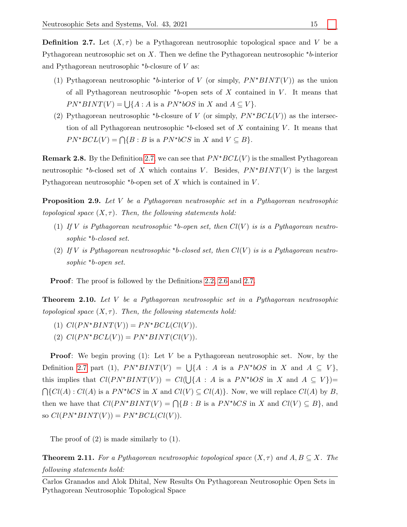<span id="page-3-0"></span>**Definition 2.7.** Let  $(X, \tau)$  be a Pythagorean neutrosophic topological space and V be a Pythagorean neutrosophic set on X. Then we define the Pythagorean neutrosophic  $\star b$ -interior and Pythagorean neutrosophic  $b$ -closure of V as:

- (1) Pythagorean neutrosophic \*b-interior of V (or simply,  $PN*BINT(V)$ ) as the union of all Pythagorean neutrosophic  $b$ -open sets of X contained in V. It means that  $PN^*BINT(V) = \bigcup \{A : A \text{ is a } PN^*bOS \text{ in } X \text{ and } A \subseteq V\}.$
- (2) Pythagorean neutrosophic \*b-closure of V (or simply,  $PN*BCL(V)$ ) as the intersection of all Pythagorean neutrosophic  $*b$ -closed set of X containing V. It means that  $PN^*BCL(V) = \bigcap \{B : B \text{ is a } PN^*bCS \text{ in } X \text{ and } V \subseteq B\}.$

**Remark 2.8.** By the Definition [2.7,](#page-3-0) we can see that  $PN*BCL(V)$  is the smallest Pythagorean neutrosophic \*b-closed set of X which contains V. Besides,  $PN*BINT(V)$  is the largest Pythagorean neutrosophic  $b$ -open set of X which is contained in V.

**Proposition 2.9.** Let V be a Pythagorean neutrosophic set in a Pythagorean neutrosophic topological space  $(X, \tau)$ . Then, the following statements hold:

- (1) If V is Pythagorean neutrosophic \*b-open set, then  $Cl(V)$  is is a Pythagorean neutrosophic \*b-closed set.
- (2) If V is Pythagorean neutrosophic \*b-closed set, then  $Cl(V)$  is is a Pythagorean neutrosophic \*b-open set.

Proof: The proof is followed by the Definitions [2.2,](#page-2-0) [2.6](#page-2-1) and [2.7.](#page-3-0)

Theorem 2.10. Let V be a Pythagorean neutrosophic set in a Pythagorean neutrosophic topological space  $(X, \tau)$ . Then, the following statements hold:

- (1)  $Cl(PN*BINT(V)) = PN*BCL(Cl(V)).$
- (2)  $Cl(PN*BCL(V)) = PN*BINT(Cl(V)).$

**Proof:** We begin proving  $(1)$ : Let V be a Pythagorean neutrosophic set. Now, by the Definition [2.7](#page-3-0) part (1),  $PN*BINT(V) = \bigcup \{A : A \text{ is a } PN*bOS \text{ in } X \text{ and } A \subseteq V\},\$ this implies that  $Cl(PN^*BINT(V)) = Cl(\bigcup \{A : A \text{ is a } PN^*bOS \text{ in } X \text{ and } A \subseteq V\})$  $\bigcap \{Cl(A): Cl(A) \text{ is a } PN^*bCS \text{ in } X \text{ and } Cl(V) \subseteq Cl(A) \}.$  Now, we will replace  $Cl(A)$  by B, then we have that  $Cl(PN*BINT(V) = \bigcap \{B : B \text{ is a } PN*bCS \text{ in } X \text{ and } Cl(V) \subseteq B\}$ , and so  $Cl(PN^*BINT(V)) = PN^*BCL(Cl(V)).$ 

The proof of (2) is made similarly to (1).

<span id="page-3-1"></span>**Theorem 2.11.** For a Pythagorean neutrosophic topological space  $(X, \tau)$  and  $A, B \subseteq X$ . The following statements hold:

Carlos Granados and Alok Dhital, New Results On Pythagorean Neutrosophic Open Sets in Pythagorean Neutrosophic Topological Space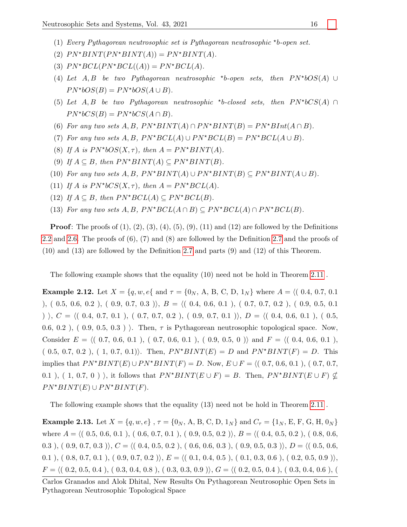- (1) Every Pythagorean neutrosophic set is Pythagorean neutrosophic  $b$ -open set.
- (2)  $PN*BINT(PN*BINT(A)) = PN*BINT(A).$
- (3)  $PN*BCL(PN*BCL((A)) = PN*BCL(A).$
- (4) Let  $A, B$  be two Pythagorean neutrosophic \*b-open sets, then  $PN^*bOS(A)$  ∪  $PN^*bOS(B) = PN^*bOS(A \cup B).$
- (5) Let  $A, B$  be two Pythagorean neutrosophic \*b-closed sets, then  $PN^*bCS(A) \cap$  $PN^*bCS(B) = PN^*bCS(A \cap B).$
- (6) For any two sets  $A, B, PN^*BINT(A) \cap PN^*BINT(B) = PN^*BInt(A \cap B).$
- (7) For any two sets A, B,  $PN^*BCL(A) \cup PN^*BCL(B) = PN^*BCL(A \cup B)$ .
- (8) If A is  $PN^*bOS(X, \tau)$ , then  $A = PN^*BINT(A)$ .
- (9) If  $A \subseteq B$ , then  $PN^*BINT(A) \subseteq PN^*BINT(B)$ .
- (10) For any two sets  $A, B, PN^*BINT(A) \cup PN^*BINT(B) \subseteq PN^*BINT(A \cup B)$ .
- (11) If A is  $PN^*bCS(X,\tau)$ , then  $A = PN^*BCL(A)$ .
- (12) If  $A \subseteq B$ , then  $PN^*BCL(A) \subseteq PN^*BCL(B)$ .
- (13) For any two sets  $A, B, PN^*BCL(A \cap B) \subseteq PN^*BCL(A) \cap PN^*BCL(B)$ .

**Proof:** The proofs of  $(1)$ ,  $(2)$ ,  $(3)$ ,  $(4)$ ,  $(5)$ ,  $(9)$ ,  $(11)$  and  $(12)$  are followed by the Definitions [2.2](#page-2-0) and [2.6.](#page-2-1) The proofs of (6), (7) and (8) are followed by the Definition [2.7](#page-3-0) and the proofs of (10) and (13) are followed by the Definition [2.7](#page-3-0) and parts (9) and (12) of this Theorem.

The following example shows that the equality (10) need not be hold in Theorem [2.11](#page-3-1) .

Example 2.12. Let X = {q, w, e{ and τ = {0<sup>N</sup> , A, B, C, D, 1<sup>N</sup> } where A = h( 0.4, 0.7, 0.1 ), ( 0.5, 0.6, 0.2 ), ( 0.9, 0.7, 0.3 )),  $B = \langle (0.4, 0.6, 0.1) , (0.7, 0.7, 0.2) , (0.9, 0.5, 0.1) \rangle$ )  $\langle$ , C =  $\langle$ ( 0.4, 0.7, 0.1 ), ( 0.7, 0.7, 0.2 ), ( 0.9, 0.7, 0.1 )), D =  $\langle$ ( 0.4, 0.6, 0.1 ), ( 0.5, 0.6, 0.2),  $(0.9, 0.5, 0.3)$ . Then,  $\tau$  is Pythagorean neutrosophic topological space. Now, Consider  $E = \langle (0.7, 0.6, 0.1), (0.7, 0.6, 0.1), (0.9, 0.5, 0) \rangle$  and  $F = \langle (0.4, 0.6, 0.1),$  $(0.5, 0.7, 0.2)$ ,  $(1, 0.7, 0.1)$ . Then,  $PN*BINT(E) = D$  and  $PN*BINT(F) = D$ . This implies that P N?BINT(E) ∪ P N?BINT(F) = D. Now, E ∪ F = h( 0.7, 0.6, 0.1 ), ( 0.7, 0.7, 0.1), ( 1, 0.7, 0) ), it follows that  $PN^*BINT(E \cup F) = B$ . Then,  $PN^*BINT(E \cup F) \not\subset$  $PN*BINT(E) \cup PN*BINT(F).$ 

The following example shows that the equality (13) need not be hold in Theorem [2.11](#page-3-1) .

**Example 2.13.** Let  $X = \{q, w, e\}$ ,  $\tau = \{0_N, A, B, C, D, 1_N\}$  and  $C_{\tau} = \{1_N, E, F, G, H, 0_N\}$ where  $A = \langle (0.5, 0.6, 0.1), (0.6, 0.7, 0.1), (0.9, 0.5, 0.2) \rangle, B = \langle (0.4, 0.5, 0.2), (0.8, 0.6,$ 0.3 ),  $( 0.9, 0.7, 0.3 )$ ,  $C = \langle ( 0.4, 0.5, 0.2 ) , ( 0.6, 0.6, 0.3 ) , ( 0.9, 0.5, 0.3 ) \rangle$ ,  $D = \langle ( 0.5, 0.6,$ 0.1 ), ( 0.8, 0.7, 0.1 ), ( 0.9, 0.7, 0.2 )),  $E = \langle (0.1, 0.4, 0.5), (0.1, 0.3, 0.6), (0.2, 0.5, 0.9) \rangle$ ,  $F = \langle (0.2, 0.5, 0.4), (0.3, 0.4, 0.8), (0.3, 0.3, 0.9), G = \langle (0.2, 0.5, 0.4), (0.3, 0.4, 0.6), (0.3, 0.4, 0.6), G \rangle$ 

Carlos Granados and Alok Dhital, New Results On Pythagorean Neutrosophic Open Sets in Pythagorean Neutrosophic Topological Space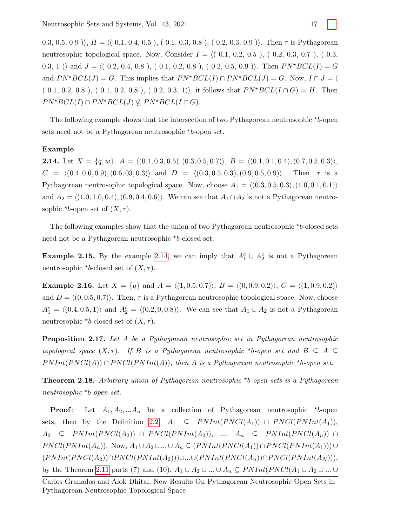$(0.3, 0.5, 0.9)$ ,  $H = \langle (0.1, 0.4, 0.5), (0.1, 0.3, 0.8), (0.2, 0.3, 0.9) \rangle$ . Then  $\tau$  is Pythagorean neutrosophic topological space. Now, Consider  $I = \langle (0.1, 0.2, 0.5), (0.2, 0.3, 0.7), (0.3,$ 0.3, 1) and  $J = \langle (0.2, 0.4, 0.8), (0.1, 0.2, 0.8), (0.2, 0.5, 0.9) \rangle$ . Then  $PN^*BCL(I) = G$ and  $PN*BCL(J) = G$ . This implies that  $PN*BCL(I) \cap PN*BCL(J) = G$ . Now,  $I \cap J = \langle h \rangle$  $(0.1, 0.2, 0.8), (0.1, 0.2, 0.8), (0.2, 0.3, 1)$ , it follows that  $PN^*BCL(I \cap G) = H$ . Then  $PN*BCL(I) \cap PN*BCL(J) \nsubseteq PN*BCL(I \cap G).$ 

The following example shows that the intersection of two Pythagorean neutrosophic  $\star b$ -open sets need not be a Pythagorean neutrosophic  $*_{b}$ -open set.

#### <span id="page-5-0"></span>Example

**2.14.** Let  $X = \{q, w\}, A = \langle (0.1, 0.3, 0.5), (0.3, 0.5, 0.7)\rangle, B = \langle (0.1, 0.1, 0.4), (0.7, 0.5, 0.3)\rangle,$  $C = \langle (0.4, 0.6, 0.9), (0.6, 0.3, 0.3) \rangle$  and  $D = \langle (0.3, 0.5, 0.3), (0.9, 0.5, 0.9) \rangle$ . Then,  $\tau$  is a Pythagorean neutrosophic topological space. Now, choose  $A_1 = \langle (0.3, 0.5, 0.3), (1.0, 0.1, 0.1) \rangle$ and  $A_2 = \langle (1.0, 1.0, 0.4), (0.9, 0.4, 0.6) \rangle$ . We can see that  $A_1 \cap A_2$  is not a Pythagorean neutrosophic \*b-open set of  $(X, \tau)$ .

The following examples show that the union of two Pythagorean neutrosophic  $b$ -closed sets need not be a Pythagorean neutrosophic \*b-closed set.

<span id="page-5-1"></span>**Example 2.15.** By the example [2.14,](#page-5-0) we can imply that  $A_1^c \cup A_2^c$  is not a Pythagorean neutrosophic \*b-closed set of  $(X, \tau)$ .

**Example 2.16.** Let  $X = \{q\}$  and  $A = \langle (1, 0.5, 0.7) \rangle$ ,  $B = \langle (0, 0.9, 0.2) \rangle$ ,  $C = \langle (1, 0.9, 0.2) \rangle$ and  $D = \langle (0, 0.5, 0.7) \rangle$ . Then,  $\tau$  is a Pythagorean neutrosophic topological space. Now, choose  $A_1^c = \langle (0.4, 0.5, 1) \rangle$  and  $A_2^c = \langle (0.2, 0, 0.8) \rangle$ . We can see that  $A_1 \cup A_2$  is not a Pythagorean neutrosophic \*b-closed set of  $(X, \tau)$ .

**Proposition 2.17.** Let A be a Pythagorean neutrosophic set in Pythagorean neutrosophic topological space  $(X, \tau)$ . If B is a Pythagorean neutrosophic \*b-open set and  $B \subseteq A \subseteq$  $PNInt(PNCl(A)) \cap PNCl(PNInt(A)),$  then A is a Pythagorean neutrosophic \*b-open set.

<span id="page-5-2"></span>**Theorem 2.18.** Arbitrary union of Pythagorean neutrosophic  $\star$ b-open sets is a Pythagorean neutrosophic ? b-open set.

**Proof:** Let  $A_1, A_2, ... A_n$  be a collection of Pythagorean neutrosophic \*b-open sets, then by the Definition [2.2,](#page-2-0)  $A_1 \subseteq PNInt(PNCl(A_1)) \cap PNCl(PNInt(A_1)),$  $A_2 \subseteq PNInt(PNCl(A_2)) \cap PNCl(PNInt(A_2)), ..., A_n \subseteq PNInt(PNCl(A_n)) \cap$  $PNCl(PNInt(A_n))$ . Now,  $A_1 \cup A_2 \cup ... \cup A_n \subseteq (PNInt(PNCl(A_1)) \cap PNCl(PNInt(A_1))) \cup$  $(PNInt(PNCl(A_2))∩PNCl(PNInt(A_2)))\cup...\cup (PNInt(PNCl(A_n))∩PNCl(PNInt(A_N))),$ by the Theorem [2.11](#page-3-1) parts (7) and (10),  $A_1 \cup A_2 \cup ... \cup A_n \subseteq PNInt(PNCl(A_1 \cup A_2 \cup ... \cup$ 

Carlos Granados and Alok Dhital, New Results On Pythagorean Neutrosophic Open Sets in Pythagorean Neutrosophic Topological Space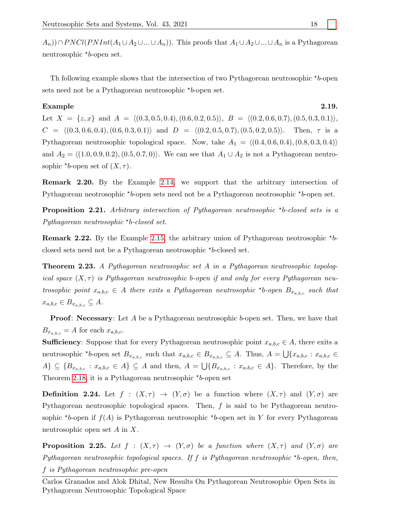$(A_n)$ )∩PNCl(PNInt( $A_1 \cup A_2 \cup ... \cup A_n$ )). This proofs that  $A_1 \cup A_2 \cup ... \cup A_n$  is a Pythagorean neutrosophic \*b-open set.

Th following example shows that the intersection of two Pythagorean neutrosophic  $*_{b}$ -open sets need not be a Pythagorean neutrosophic  $*_{b}$ -open set.

### Example 2.19.

Let  $X = \{z, x\}$  and  $A = \langle (0.3, 0.5, 0.4), (0.6, 0.2, 0.5)\rangle$ ,  $B = \langle (0.2, 0.6, 0.7), (0.5, 0.3, 0.1)\rangle$  $C = \langle (0.3, 0.6, 0.4), (0.6, 0.3, 0.1) \rangle$  and  $D = \langle (0.2, 0.5, 0.7), (0.5, 0.2, 0.5) \rangle$ . Then,  $\tau$  is a Pythagorean neutrosophic topological space. Now, take  $A_1 = \langle (0.4, 0.6, 0.4), (0.8, 0.3, 0.4) \rangle$ and  $A_2 = \langle (1.0, 0.9, 0.2), (0.5, 0.7, 0) \rangle$ . We can see that  $A_1 \cup A_2$  is not a Pythagorean neutrosophic \*b-open set of  $(X, \tau)$ .

Remark 2.20. By the Example [2.14,](#page-5-0) we support that the arbitrary intersection of Pythagorean neotrosophic  $\star b$ -open sets need not be a Pythagorean neotrosophic  $\star b$ -open set.

**Proposition 2.21.** Arbitrary intersection of Pythagorean neutrosophic  $*$ b-closed sets is a Pythagorean neutrosophic  $b$ -closed set.

**Remark 2.22.** By the Example [2.15,](#page-5-1) the arbitrary union of Pythagorean neotrosophic  $*b$ closed sets need not be a Pythagorean neotrosophic  $b$ -closed set.

Theorem 2.23. A Pythagorean neutrosophic set A in a Pythagorean neutrosophic topological space  $(X, \tau)$  is Pythagorean neutrosophic b-open if and only for every Pythagorean neutrosophic point  $x_{a,b,c} \in A$  there exits a Pythagorean neutrosophic \*b-open  $B_{x_{a,b,c}}$  such that  $x_{a,b,c} \in B_{x_{a,b,c}} \subseteq A$ .

**Proof: Necessary:** Let A be a Pythagorean neutrosophic b-open set. Then, we have that  $B_{x_{a,b,c}} = A$  for each  $x_{a,b,c}$ .

**Sufficiency**: Suppose that for every Pythagorean neutrosophic point  $x_{a,b,c} \in A$ , there exits a neutrosophic \*b-open set  $B_{x_{a,b,c}}$  such that  $x_{a,b,c} \in B_{x_{a,b,c}} \subseteq A$ . Thus,  $A = \bigcup \{x_{a,b,c} : x_{a,b,c} \in A\}$  $A\} \subseteq \{B_{x_{a,b,c}} : x_{a,b,c} \in A\} \subseteq A$  and then,  $A = \bigcup \{B_{x_{a,b,c}} : x_{a,b,c} \in A\}$ . Therefore, by the Theorem [2.18,](#page-5-2) it is a Pythagorean neutrosophic  $\star$ b-open set

**Definition 2.24.** Let  $f : (X, \tau) \to (Y, \sigma)$  be a function where  $(X, \tau)$  and  $(Y, \sigma)$  are Pythagorean neutrosophic topological spaces. Then, f is said to be Pythagorean neutrosophic \*b-open if  $f(A)$  is Pythagorean neutrosophic \*b-open set in Y for every Pythagorean neutrosophic open set A in X.

**Proposition 2.25.** Let  $f : (X, \tau) \to (Y, \sigma)$  be a function where  $(X, \tau)$  and  $(Y, \sigma)$  are Pythagorean neutrosophic topological spaces. If  $f$  is Pythagorean neutrosophic \*b-open, then, f is Pythagorean neutrosophic pre-open

Carlos Granados and Alok Dhital, New Results On Pythagorean Neutrosophic Open Sets in Pythagorean Neutrosophic Topological Space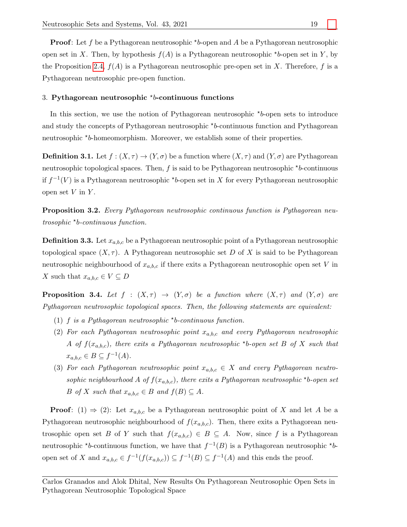**Proof:** Let f be a Pythagorean neutrosophic  $b$ -open and A be a Pythagorean neutrosophic open set in X. Then, by hypothesis  $f(A)$  is a Pythagorean neutrosophic \*b-open set in Y, by the Proposition [2.4,](#page-2-2)  $f(A)$  is a Pythagorean neutrosophic pre-open set in X. Therefore, f is a Pythagorean neutrosophic pre-open function.

## 3. Pythagorean neutrosophic  $'b$ -continuous functions

In this section, we use the notion of Pythagorean neutrosophic  $**b*$ -open sets to introduce and study the concepts of Pythagorean neutrosophic \*b-continuous function and Pythagorean neutrosophic \*b-homeomorphism. Moreover, we establish some of their properties.

**Definition 3.1.** Let  $f : (X, \tau) \to (Y, \sigma)$  be a function where  $(X, \tau)$  and  $(Y, \sigma)$  are Pythagorean neutrosophic topological spaces. Then,  $f$  is said to be Pythagorean neutrosophic  $\star$ b-continuous if  $f^{-1}(V)$  is a Pythagorean neutrosophic \*b-open set in X for every Pythagorean neutrosophic open set  $V$  in  $Y$ .

**Proposition 3.2.** Every Pythagorean neutrosophic continuous function is Pythagorean neutrosophic \*b-continuous function.

**Definition 3.3.** Let  $x_{a,b,c}$  be a Pythagorean neutrosophic point of a Pythagorean neutrosophic topological space  $(X, \tau)$ . A Pythagorean neutrosophic set D of X is said to be Pythagorean neutrosophic neighbourhood of  $x_{a,b,c}$  if there exits a Pythagorean neutrosophic open set V in X such that  $x_{a,b,c} \in V \subseteq D$ 

**Proposition 3.4.** Let  $f : (X, \tau) \to (Y, \sigma)$  be a function where  $(X, \tau)$  and  $(Y, \sigma)$  are Pythagorean neutrosophic topological spaces. Then, the following statements are equivalent:

- (1)  $f$  is a Pythagorean neutrosophic \*b-continuous function.
- (2) For each Pythagorean neutrosophic point  $x_{a,b,c}$  and every Pythagorean neutrosophic A of  $f(x_{a,b,c})$ , there exits a Pythagorean neutrosophic \*b-open set B of X such that  $x_{a,b,c} \in B \subseteq f^{-1}(A)$ .
- (3) For each Pythagorean neutrosophic point  $x_{a,b,c} \in X$  and every Pythagorean neutrosophic neighbourhood A of  $f(x_{a,b,c})$ , there exits a Pythagorean neutrosophic \*b-open set B of X such that  $x_{a,b,c} \in B$  and  $f(B) \subseteq A$ .

**Proof:** (1)  $\Rightarrow$  (2): Let  $x_{a,b,c}$  be a Pythagorean neutrosophic point of X and let A be a Pythagorean neutrosophic neighbourhood of  $f(x_{a,b,c})$ . Then, there exits a Pythagorean neutrosophic open set B of Y such that  $f(x_{a,b,c}) \in B \subseteq A$ . Now, since f is a Pythagorean neutrosophic \*b-continuous function, we have that  $f^{-1}(B)$  is a Pythagorean neutrosophic \*bopen set of X and  $x_{a,b,c} \in f^{-1}(f(x_{a,b,c})) \subseteq f^{-1}(B) \subseteq f^{-1}(A)$  and this ends the proof.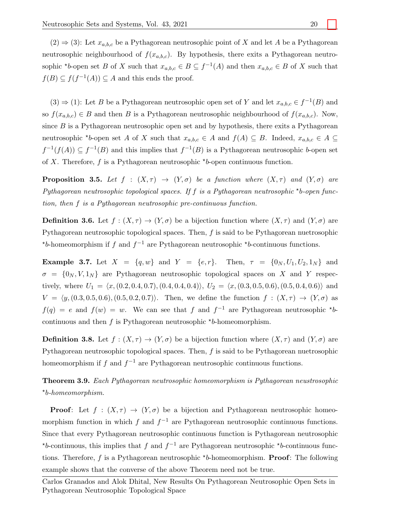$(2) \Rightarrow (3)$ : Let  $x_{a,b,c}$  be a Pythagorean neutrosophic point of X and let A be a Pythagorean neutrosophic neighbourhood of  $f(x_{a,b,c})$ . By hypothesis, there exits a Pythagorean neutrosophic \*b-open set B of X such that  $x_{a,b,c} \in B \subseteq f^{-1}(A)$  and then  $x_{a,b,c} \in B$  of X such that  $f(B) \subseteq f(f^{-1}(A)) \subseteq A$  and this ends the proof.

 $(3) \Rightarrow (1)$ : Let B be a Pythagorean neutrosophic open set of Y and let  $x_{a,b,c} \in f^{-1}(B)$  and so  $f(x_{a,b,c}) \in B$  and then B is a Pythagorean neutrosophic neighbourhood of  $f(x_{a,b,c})$ . Now, since  $B$  is a Pythagorean neutrosophic open set and by hypothesis, there exits a Pythagorean neutrosophic \*b-open set A of X such that  $x_{a,b,c} \in A$  and  $f(A) \subseteq B$ . Indeed,  $x_{a,b,c} \in A \subseteq$  $f^{-1}(f(A)) \subseteq f^{-1}(B)$  and this implies that  $f^{-1}(B)$  is a Pythagorean neutrosophic b-open set of X. Therefore,  $f$  is a Pythagorean neutrosophic  $\star b$ -open continuous function.

**Proposition 3.5.** Let  $f : (X, \tau) \to (Y, \sigma)$  be a function where  $(X, \tau)$  and  $(Y, \sigma)$  are Pythagorean neutrosophic topological spaces. If  $f$  is a Pythagorean neutrosophic \*b-open function, then f is a Pythagorean neutrosophic pre-continuous function.

**Definition 3.6.** Let  $f : (X, \tau) \to (Y, \sigma)$  be a bijection function where  $(X, \tau)$  and  $(Y, \sigma)$  are Pythagorean neutrosophic topological spaces. Then, f is said to be Pythagorean nuetrosophic \*b-homeomorphism if f and  $f^{-1}$  are Pythagorean neutrosophic \*b-continuous functions.

**Example 3.7.** Let  $X = \{q, w\}$  and  $Y = \{e, r\}$ . Then,  $\tau = \{0_N, U_1, U_2, 1_N\}$  and  $\sigma = \{0_N, V, 1_N\}$  are Pythagorean neutrosophic topological spaces on X and Y respectively, where  $U_1 = \langle x,(0.2, 0.4, 0.7), (0.4, 0.4, 0.4)\rangle$ ,  $U_2 = \langle x,(0.3, 0.5, 0.6), (0.5, 0.4, 0.6)\rangle$  and  $V = \langle y,(0.3, 0.5, 0.6), (0.5, 0.2, 0.7)\rangle$ . Then, we define the function  $f : (X, \tau) \to (Y, \sigma)$  as  $f(q) = e$  and  $f(w) = w$ . We can see that f and  $f^{-1}$  are Pythagorean neutrosophic \*bcontinuous and then  $f$  is Pythagorean neutrosophic  $\star b$ -homeomorphism.

**Definition 3.8.** Let  $f : (X, \tau) \to (Y, \sigma)$  be a bijection function where  $(X, \tau)$  and  $(Y, \sigma)$  are Pythagorean neutrosophic topological spaces. Then,  $f$  is said to be Pythagorean nuetrosophic homeomorphism if f and  $f^{-1}$  are Pythagorean neutrosophic continuous functions.

Theorem 3.9. Each Pythagorean neutrosophic homeomorphism is Pythagorean neustrosophic ? b-homeomorphism.

**Proof:** Let  $f : (X, \tau) \to (Y, \sigma)$  be a bijection and Pythagorean neutrosophic homeomorphism function in which f and  $f^{-1}$  are Pythagorean neutrosophic continuous functions. Since that every Pythagorean neutrosophic continuous function is Pythagorean neutrosophic \*b-continuous, this implies that f and  $f^{-1}$  are Pythagorean neutrosophic \*b-continuous functions. Therefore,  $f$  is a Pythagorean neutrosophic  $\star b$ -homeomorphism. **Proof**: The following example shows that the converse of the above Theorem need not be true.

Carlos Granados and Alok Dhital, New Results On Pythagorean Neutrosophic Open Sets in Pythagorean Neutrosophic Topological Space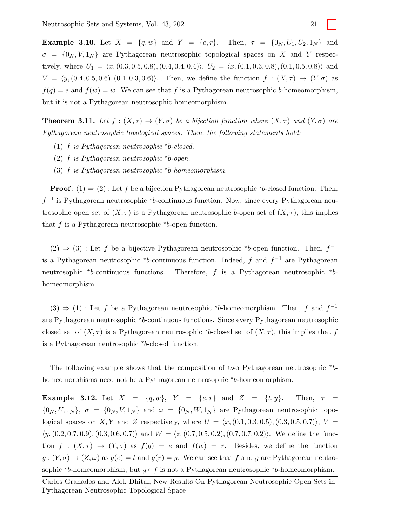**Example 3.10.** Let  $X = \{q, w\}$  and  $Y = \{e, r\}$ . Then,  $\tau = \{0_N, U_1, U_2, 1_N\}$  and  $\sigma = \{0_N, V, 1_N\}$  are Pythagorean neutrosophic topological spaces on X and Y respectively, where  $U_1 = \langle x,(0.3, 0.5, 0.8), (0.4, 0.4, 0.4)\rangle$ ,  $U_2 = \langle x,(0.1, 0.3, 0.8), (0.1, 0.5, 0.8)\rangle$  and  $V = \langle y,(0.4, 0.5, 0.6), (0.1, 0.3, 0.6)\rangle$ . Then, we define the function  $f : (X, \tau) \to (Y, \sigma)$  as  $f(q) = e$  and  $f(w) = w$ . We can see that f is a Pythagorean neutrosophic b-homeomorphism, but it is not a Pythagorean neutrosophic homeomorphism.

**Theorem 3.11.** Let  $f : (X, \tau) \to (Y, \sigma)$  be a bijection function where  $(X, \tau)$  and  $(Y, \sigma)$  are Pythagorean neutrosophic topological spaces. Then, the following statements hold:

- (1)  $f$  is Pythagorean neutrosophic \*b-closed.
- (2)  $f$  is Pythagorean neutrosophic \*b-open.
- (3)  $f$  is Pythagorean neutrosophic \*b-homeomorphism.

**Proof:** (1)  $\Rightarrow$  (2): Let f be a bijection Pythagorean neutrosophic \*b-closed function. Then,  $f^{-1}$  is Pythagorean neutrosophic \*b-continuous function. Now, since every Pythagorean neutrosophic open set of  $(X, \tau)$  is a Pythagorean neutrosophic b-open set of  $(X, \tau)$ , this implies that  $f$  is a Pythagorean neutrosophic  $\star$ b-open function.

 $(2) \Rightarrow (3)$ : Let f be a bijective Pythagorean neutrosophic \*b-open function. Then,  $f^{-1}$ is a Pythagorean neutrosophic  $\star$ b-continuous function. Indeed, f and  $f^{-1}$  are Pythagorean neutrosophic  $\star$ b-continuous functions. b-continuous functions. Therefore, f is a Pythagorean neutrosophic  $*$ bhomeomorphism.

 $(3) \Rightarrow (1)$ : Let f be a Pythagorean neutrosophic \*b-homeomorphism. Then, f and  $f^{-1}$ are Pythagorean neutrosophic \*b-continuous functions. Since every Pythagorean neutrosophic closed set of  $(X, \tau)$  is a Pythagorean neutrosophic \*b-closed set of  $(X, \tau)$ , this implies that f is a Pythagorean neutrosophic  $b$ -closed function.

The following example shows that the composition of two Pythagorean neutrosophic  $*_{b}$ homeomorphisms need not be a Pythagorean neutrosophic \*b-homeomorphism.

Example 3.12. Let  $X = \{q, w\}$ ,  $Y = \{e, r\}$  and  $Z = \{t, y\}$ . Then,  $\tau =$  $\{0_N, U, 1_N\}, \sigma = \{0_N, V, 1_N\}$  and  $\omega = \{0_N, W, 1_N\}$  are Pythagorean neutrosophic topological spaces on X, Y and Z respectively, where  $U = \langle x,(0.1, 0.3, 0.5), (0.3, 0.5, 0.7)\rangle$ ,  $V =$  $\langle y,(0.2, 0.7, 0.9),(0.3, 0.6, 0.7)\rangle$  and  $W = \langle z,(0.7, 0.5, 0.2),(0.7, 0.7, 0.2)\rangle$ . We define the function  $f : (X, \tau) \to (Y, \sigma)$  as  $f(q) = e$  and  $f(w) = r$ . Besides, we define the function  $g: (Y, \sigma) \to (Z, \omega)$  as  $g(e) = t$  and  $g(r) = y$ . We can see that f and g are Pythagorean neutrosophic \*b-homeomorphism, but  $g \circ f$  is not a Pythagorean neutrosophic \*b-homeomorphism.

Carlos Granados and Alok Dhital, New Results On Pythagorean Neutrosophic Open Sets in Pythagorean Neutrosophic Topological Space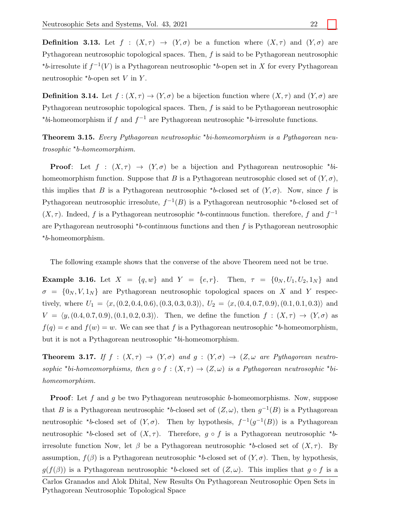**Definition 3.13.** Let  $f : (X, \tau) \to (Y, \sigma)$  be a function where  $(X, \tau)$  and  $(Y, \sigma)$  are Pythagorean neutrosophic topological spaces. Then,  $f$  is said to be Pythagorean neutrosophic \*b-irresolute if  $f^{-1}(V)$  is a Pythagorean neutrosophic \*b-open set in X for every Pythagorean neutrosophic  $b$ -open set V in Y.

**Definition 3.14.** Let  $f : (X, \tau) \to (Y, \sigma)$  be a bijection function where  $(X, \tau)$  and  $(Y, \sigma)$  are Pythagorean neutrosophic topological spaces. Then,  $f$  is said to be Pythagorean neutrosophic \*bi-homeomorphism if f and  $f^{-1}$  are Pythagorean neutrosophic \*b-irresolute functions.

**Theorem 3.15.** Every Pythagorean neutrosophic  $\star$ bi-homeomorphism is a Pythagorean neutrosophic \*b-homeomorphism.

**Proof:** Let  $f : (X, \tau) \to (Y, \sigma)$  be a bijection and Pythagorean neutrosophic \*bihomeomorphism function. Suppose that B is a Pythagorean neutrosophic closed set of  $(Y, \sigma)$ , this implies that B is a Pythagorean neutrosophic \*b-closed set of  $(Y, \sigma)$ . Now, since f is Pythagorean neutrosophic irresolute,  $f^{-1}(B)$  is a Pythagorean neutrosophic \*b-closed set of  $(X, \tau)$ . Indeed, f is a Pythagorean neutrosophic \*b-continuous function. therefore, f and  $f^{-1}$ are Pythagorean neutrosophi  $\star$ b-continuous functions and then f is Pythagorean neutrosophic ? b-homeomorphism.

The following example shows that the converse of the above Theorem need not be true.

**Example 3.16.** Let  $X = \{q, w\}$  and  $Y = \{e, r\}$ . Then,  $\tau = \{0_N, U_1, U_2, 1_N\}$  and  $\sigma = \{0_N, V, 1_N\}$  are Pythagorean neutrosophic topological spaces on X and Y respectively, where  $U_1 = \langle x,(0.2, 0.4, 0.6), (0.3, 0.3, 0.3)\rangle$ ,  $U_2 = \langle x,(0.4, 0.7, 0.9), (0.1, 0.1, 0.3)\rangle$  and  $V = \langle y,(0.4, 0.7, 0.9),(0.1, 0.2, 0.3)\rangle$ . Then, we define the function  $f : (X, \tau) \to (Y, \sigma)$  as  $f(q) = e$  and  $f(w) = w$ . We can see that f is a Pythagorean neutrosophic \*b-homeomorphism, but it is not a Pythagorean neutrosophic \*bi-homeomorphism.

**Theorem 3.17.** If  $f : (X, \tau) \to (Y, \sigma)$  and  $g : (Y, \sigma) \to (Z, \omega)$  are Pythagorean neutrosophic \*bi-homeomorphisms, then  $g \circ f : (X, \tau) \to (Z, \omega)$  is a Pythagorean neutrosophic \*bihomeomorphism.

**Proof:** Let f and g be two Pythagorean neutrosophic b-homeomorphisms. Now, suppose that B is a Pythagorean neutrosophic \*b-closed set of  $(Z, \omega)$ , then  $g^{-1}(B)$  is a Pythagorean neutrosophic \*b-closed set of  $(Y, \sigma)$ . Then by hypothesis,  $f^{-1}(g^{-1}(B))$  is a Pythagorean neutrosophic \*b-closed set of  $(X, \tau)$ . Therefore,  $g \circ f$  is a Pythagorean neutrosophic \*birresolute function Now, let  $\beta$  be a Pythagorean neutrosophic \*b-closed set of  $(X, \tau)$ . By assumption,  $f(\beta)$  is a Pythagorean neutrosophic \*b-closed set of  $(Y, \sigma)$ . Then, by hypothesis,  $g(f(\beta))$  is a Pythagorean neutrosophic \*b-closed set of  $(Z, \omega)$ . This implies that  $g \circ f$  is a

Carlos Granados and Alok Dhital, New Results On Pythagorean Neutrosophic Open Sets in Pythagorean Neutrosophic Topological Space